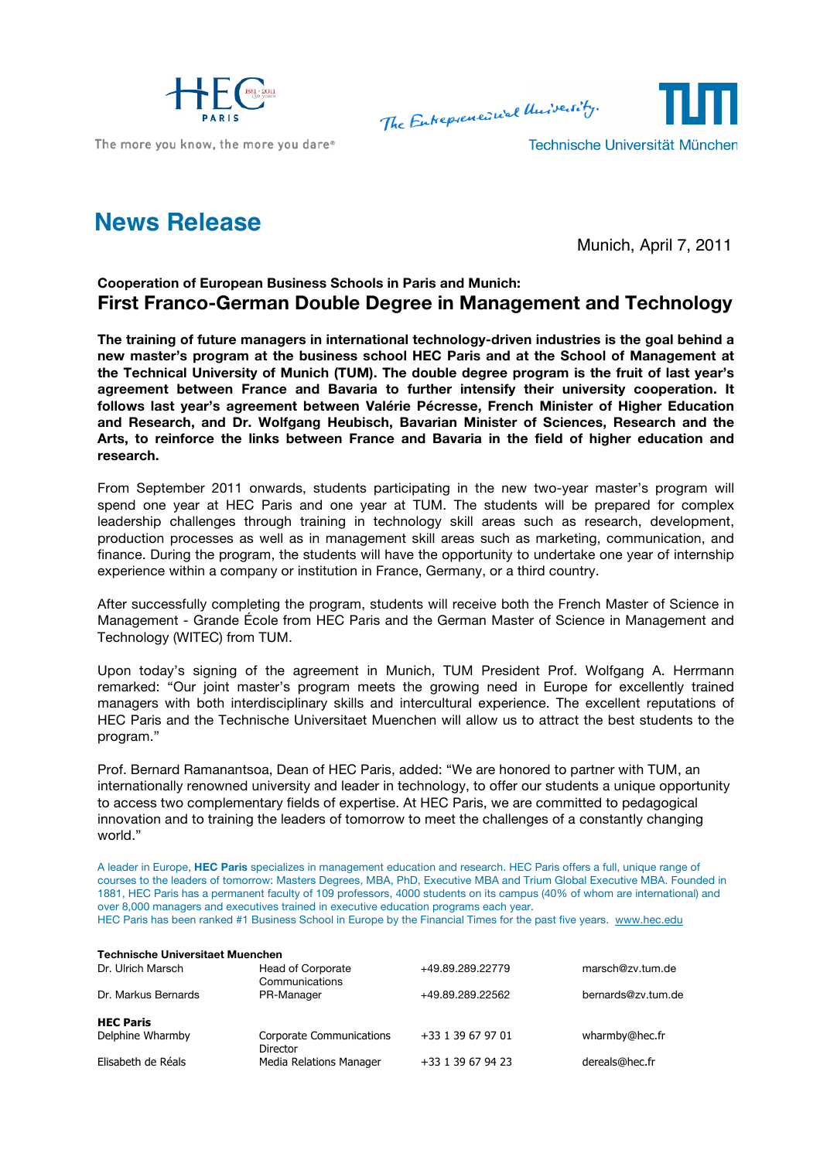

The more you know, the more you dare®

The Entrepreneural University.

Technische Universität München

## **News Release**

Munich, April 7, 2011

## **Cooperation of European Business Schools in Paris and Munich: First Franco-German Double Degree in Management and Technology**

**The training of future managers in international technology-driven industries is the goal behind a new master's program at the business school HEC Paris and at the School of Management at the Technical University of Munich (TUM). The double degree program is the fruit of last year's agreement between France and Bavaria to further intensify their university cooperation. It follows last year's agreement between Valérie Pécresse, French Minister of Higher Education and Research, and Dr. Wolfgang Heubisch, Bavarian Minister of Sciences, Research and the Arts, to reinforce the links between France and Bavaria in the field of higher education and research.**

From September 2011 onwards, students participating in the new two-year master's program will spend one year at HEC Paris and one year at TUM. The students will be prepared for complex leadership challenges through training in technology skill areas such as research, development, production processes as well as in management skill areas such as marketing, communication, and finance. During the program, the students will have the opportunity to undertake one year of internship experience within a company or institution in France, Germany, or a third country.

After successfully completing the program, students will receive both the French Master of Science in Management - Grande École from HEC Paris and the German Master of Science in Management and Technology (WITEC) from TUM.

Upon today's signing of the agreement in Munich, TUM President Prof. Wolfgang A. Herrmann remarked: "Our joint master's program meets the growing need in Europe for excellently trained managers with both interdisciplinary skills and intercultural experience. The excellent reputations of HEC Paris and the Technische Universitaet Muenchen will allow us to attract the best students to the program."

Prof. Bernard Ramanantsoa, Dean of HEC Paris, added: "We are honored to partner with TUM, an internationally renowned university and leader in technology, to offer our students a unique opportunity to access two complementary fields of expertise. At HEC Paris, we are committed to pedagogical innovation and to training the leaders of tomorrow to meet the challenges of a constantly changing world."

A leader in Europe, **HEC Paris** specializes in management education and research. HEC Paris offers a full, unique range of courses to the leaders of tomorrow: Masters Degrees, MBA, PhD, Executive MBA and Trium Global Executive MBA. Founded in 1881, HEC Paris has a permanent faculty of 109 professors, 4000 students on its campus (40% of whom are international) and over 8,000 managers and executives trained in executive education programs each year. HEC Paris has been ranked #1 Business School in Europe by the Financial Times for the past five years. www.hec.edu

| <b>Technische Universitaet Muenchen</b> |                   |                    |  |  |  |
|-----------------------------------------|-------------------|--------------------|--|--|--|
| Head of Corporate                       | +49.89.289.22779  | marsch@zv.tum.de   |  |  |  |
| Communications                          |                   |                    |  |  |  |
| PR-Manager                              | +49.89.289.22562  | bernards@zv.tum.de |  |  |  |
|                                         |                   |                    |  |  |  |
|                                         |                   |                    |  |  |  |
| Corporate Communications                | +33 1 39 67 97 01 | wharmby@hec.fr     |  |  |  |
| Director                                |                   |                    |  |  |  |
| Media Relations Manager                 | +33 1 39 67 94 23 | dereals@hec.fr     |  |  |  |
|                                         |                   |                    |  |  |  |